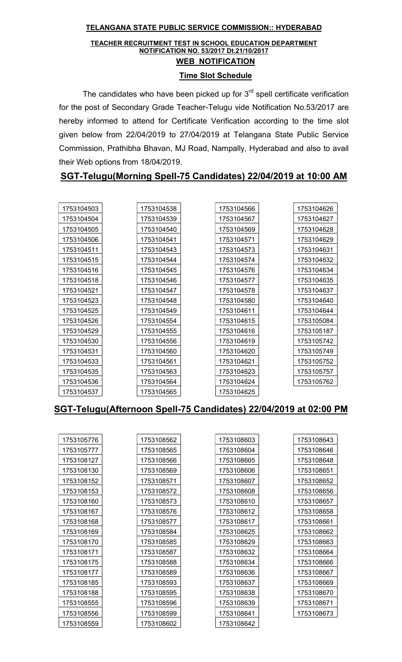#### TELANGANA STATE PUBLIC SERVICE COMMISSION:: HYDERABAD

#### TEACHER RECRUITMENT TEST IN SCHOOL EDUCATION DEPARTMENT NOTIFICATION NO. 53/2017 Dt.21/10/2017 WEB NOTIFICATION

#### Time Slot Schedule

The candidates who have been picked up for  $3<sup>rd</sup>$  spell certificate verification for the post of Secondary Grade Teacher-Telugu vide Notification No.53/2017 are hereby informed to attend for Certificate Verification according to the time slot given below from 22/04/2019 to 27/04/2019 at Telangana State Public Service Commission, Prathibha Bhavan, MJ Road, Nampally, Hyderabad and also to avail their Web options from 18/04/2019.

#### SGT-Telugu(Morning Spell-75 Candidates) 22/04/2019 at 10:00 AM

| 1753104503 | 1753104538 | 1753104566 |
|------------|------------|------------|
| 1753104504 | 1753104539 | 1753104567 |
| 1753104505 | 1753104540 | 1753104569 |
| 1753104506 | 1753104541 | 1753104571 |
| 1753104511 | 1753104543 | 1753104573 |
| 1753104515 | 1753104544 | 1753104574 |
| 1753104516 | 1753104545 | 1753104576 |
| 1753104518 | 1753104546 | 1753104577 |
| 1753104521 | 1753104547 | 1753104578 |
| 1753104523 | 1753104548 | 1753104580 |
| 1753104525 | 1753104549 | 1753104611 |
| 1753104526 | 1753104554 | 1753104615 |
| 1753104529 | 1753104555 | 1753104616 |
| 1753104530 | 1753104556 | 1753104619 |
| 1753104531 | 1753104560 | 1753104620 |
| 1753104533 | 1753104561 | 1753104621 |
| 1753104535 | 1753104563 | 1753104623 |
| 1753104536 | 1753104564 | 1753104624 |
| 1753104537 | 1753104565 | 1753104625 |

#### SGT-Telugu(Afternoon Spell-75 Candidates) 22/04/2019 at 02:00 PM

| 1753105776 | 1753108562 | 1753108603 | 1753108643 |
|------------|------------|------------|------------|
| 1753105777 | 1753108565 | 1753108604 | 1753108646 |
| 1753108127 | 1753108566 | 1753108605 | 1753108648 |
| 1753108130 | 1753108569 | 1753108606 | 1753108651 |
| 1753108152 | 1753108571 | 1753108607 | 1753108652 |
| 1753108153 | 1753108572 | 1753108608 | 1753108656 |
| 1753108160 | 1753108573 | 1753108610 | 1753108657 |
| 1753108167 | 1753108576 | 1753108612 | 1753108658 |
| 1753108168 | 1753108577 | 1753108617 | 1753108661 |
| 1753108169 | 1753108584 | 1753108625 | 1753108662 |
| 1753108170 | 1753108585 | 1753108629 | 1753108663 |
| 1753108171 | 1753108587 | 1753108632 | 1753108664 |
| 1753108175 | 1753108588 | 1753108634 | 1753108666 |
| 1753108177 | 1753108589 | 1753108636 | 1753108667 |
| 1753108185 | 1753108593 | 1753108637 | 1753108669 |
| 1753108188 | 1753108595 | 1753108638 | 1753108670 |
| 1753108555 | 1753108596 | 1753108639 | 1753108671 |
| 1753108556 | 1753108599 | 1753108641 | 1753108673 |
| 1753108559 | 1753108602 | 1753108642 |            |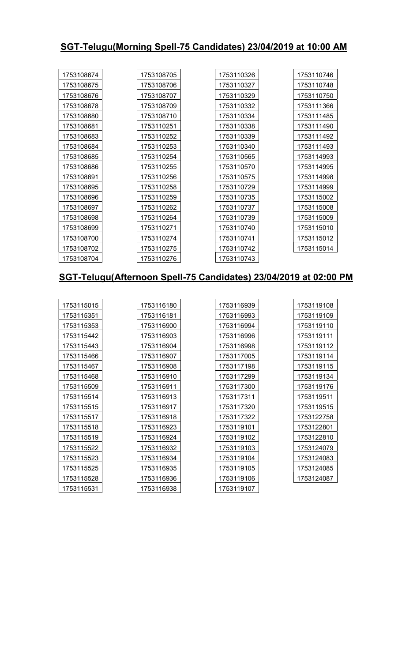# SGT-Telugu(Morning Spell-75 Candidates) 23/04/2019 at 10:00 AM

| 1753108674 | 1753108705 | 1753110326 | 1753110746 |
|------------|------------|------------|------------|
| 1753108675 | 1753108706 | 1753110327 | 1753110748 |
| 1753108676 | 1753108707 | 1753110329 | 1753110750 |
| 1753108678 | 1753108709 | 1753110332 | 1753111366 |
| 1753108680 | 1753108710 | 1753110334 | 1753111485 |
| 1753108681 | 1753110251 | 1753110338 | 1753111490 |
| 1753108683 | 1753110252 | 1753110339 | 1753111492 |
| 1753108684 | 1753110253 | 1753110340 | 1753111493 |
| 1753108685 | 1753110254 | 1753110565 | 1753114993 |
| 1753108686 | 1753110255 | 1753110570 | 1753114995 |
| 1753108691 | 1753110256 | 1753110575 | 1753114998 |
| 1753108695 | 1753110258 | 1753110729 | 1753114999 |
| 1753108696 | 1753110259 | 1753110735 | 1753115002 |
| 1753108697 | 1753110262 | 1753110737 | 1753115008 |
| 1753108698 | 1753110264 | 1753110739 | 1753115009 |
| 1753108699 | 1753110271 | 1753110740 | 1753115010 |
| 1753108700 | 1753110274 | 1753110741 | 1753115012 |
| 1753108702 | 1753110275 | 1753110742 | 1753115014 |
| 1753108704 | 1753110276 | 1753110743 |            |

## SGT-Telugu(Afternoon Spell-75 Candidates) 23/04/2019 at 02:00 PM

| 1753115015 | 1753116180 | 1753116939 | 1753119108 |
|------------|------------|------------|------------|
| 1753115351 | 1753116181 | 1753116993 | 1753119109 |
| 1753115353 | 1753116900 | 1753116994 | 1753119110 |
| 1753115442 | 1753116903 | 1753116996 | 1753119111 |
| 1753115443 | 1753116904 | 1753116998 | 1753119112 |
| 1753115466 | 1753116907 | 1753117005 | 1753119114 |
| 1753115467 | 1753116908 | 1753117198 | 1753119115 |
| 1753115468 | 1753116910 | 1753117299 | 1753119134 |
| 1753115509 | 1753116911 | 1753117300 | 1753119176 |
| 1753115514 | 1753116913 | 1753117311 | 1753119511 |
| 1753115515 | 1753116917 | 1753117320 | 1753119515 |
| 1753115517 | 1753116918 | 1753117322 | 1753122758 |
| 1753115518 | 1753116923 | 1753119101 | 1753122801 |
| 1753115519 | 1753116924 | 1753119102 | 1753122810 |
| 1753115522 | 1753116932 | 1753119103 | 1753124079 |
| 1753115523 | 1753116934 | 1753119104 | 1753124083 |
| 1753115525 | 1753116935 | 1753119105 | 1753124085 |
| 1753115528 | 1753116936 | 1753119106 | 1753124087 |
| 1753115531 | 1753116938 | 1753119107 |            |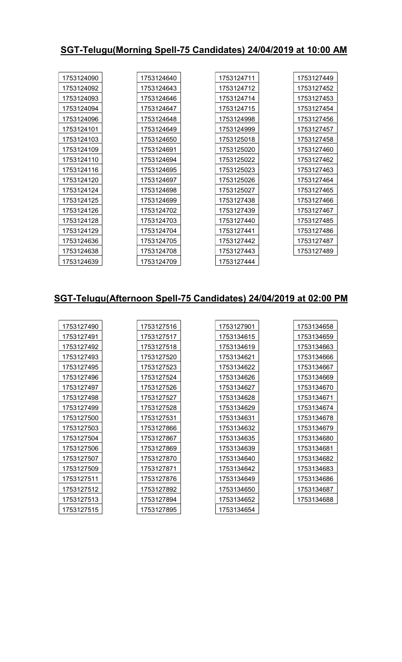# SGT-Telugu(Morning Spell-75 Candidates) 24/04/2019 at 10:00 AM

| 1753124090 | 1753124640 | 1753124711 | 1753127449 |
|------------|------------|------------|------------|
| 1753124092 | 1753124643 | 1753124712 | 1753127452 |
| 1753124093 | 1753124646 | 1753124714 | 1753127453 |
| 1753124094 | 1753124647 | 1753124715 | 1753127454 |
| 1753124096 | 1753124648 | 1753124998 | 1753127456 |
| 1753124101 | 1753124649 | 1753124999 | 1753127457 |
| 1753124103 | 1753124650 | 1753125018 | 1753127458 |
| 1753124109 | 1753124691 | 1753125020 | 1753127460 |
| 1753124110 | 1753124694 | 1753125022 | 1753127462 |
| 1753124116 | 1753124695 | 1753125023 | 1753127463 |
| 1753124120 | 1753124697 | 1753125026 | 1753127464 |
| 1753124124 | 1753124698 | 1753125027 | 1753127465 |
| 1753124125 | 1753124699 | 1753127438 | 1753127466 |
| 1753124126 | 1753124702 | 1753127439 | 1753127467 |
| 1753124128 | 1753124703 | 1753127440 | 1753127485 |
| 1753124129 | 1753124704 | 1753127441 | 1753127486 |
| 1753124636 | 1753124705 | 1753127442 | 1753127487 |
| 1753124638 | 1753124708 | 1753127443 | 1753127489 |
| 1753124639 | 1753124709 | 1753127444 |            |

# SGT-Telugu(Afternoon Spell-75 Candidates) 24/04/2019 at 02:00 PM

| 1753127490 | 1753127516 | 1753127901 | 1753134658 |
|------------|------------|------------|------------|
| 1753127491 | 1753127517 | 1753134615 | 1753134659 |
| 1753127492 | 1753127518 | 1753134619 | 1753134663 |
| 1753127493 | 1753127520 | 1753134621 | 1753134666 |
| 1753127495 | 1753127523 | 1753134622 | 1753134667 |
| 1753127496 | 1753127524 | 1753134626 | 1753134669 |
| 1753127497 | 1753127526 | 1753134627 | 1753134670 |
| 1753127498 | 1753127527 | 1753134628 | 1753134671 |
| 1753127499 | 1753127528 | 1753134629 | 1753134674 |
| 1753127500 | 1753127531 | 1753134631 | 1753134678 |
| 1753127503 | 1753127866 | 1753134632 | 1753134679 |
| 1753127504 | 1753127867 | 1753134635 | 1753134680 |
| 1753127506 | 1753127869 | 1753134639 | 1753134681 |
| 1753127507 | 1753127870 | 1753134640 | 1753134682 |
| 1753127509 | 1753127871 | 1753134642 | 1753134683 |
| 1753127511 | 1753127876 | 1753134649 | 1753134686 |
| 1753127512 | 1753127892 | 1753134650 | 1753134687 |
| 1753127513 | 1753127894 | 1753134652 | 1753134688 |
| 1753127515 | 1753127895 | 1753134654 |            |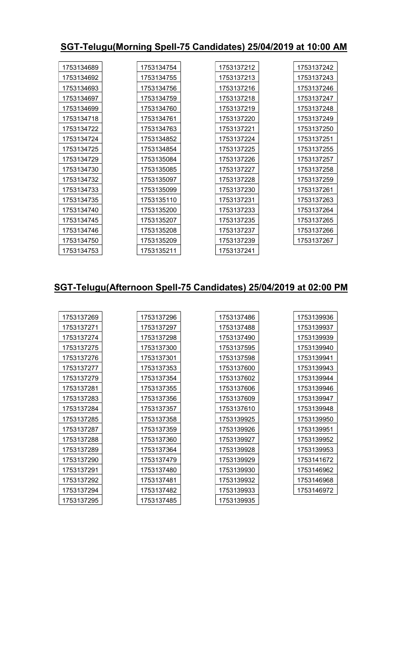## SGT-Telugu(Morning Spell-75 Candidates) 25/04/2019 at 10:00 AM

| 1753134689 | 1753134754 | 1753137212 | 1753137242 |
|------------|------------|------------|------------|
| 1753134692 | 1753134755 | 1753137213 | 1753137243 |
| 1753134693 | 1753134756 | 1753137216 | 1753137246 |
| 1753134697 | 1753134759 | 1753137218 | 1753137247 |
| 1753134699 | 1753134760 | 1753137219 | 1753137248 |
| 1753134718 | 1753134761 | 1753137220 | 1753137249 |
| 1753134722 | 1753134763 | 1753137221 | 1753137250 |
| 1753134724 | 1753134852 | 1753137224 | 1753137251 |
| 1753134725 | 1753134854 | 1753137225 | 1753137255 |
| 1753134729 | 1753135084 | 1753137226 | 1753137257 |
| 1753134730 | 1753135085 | 1753137227 | 1753137258 |
| 1753134732 | 1753135097 | 1753137228 | 1753137259 |
| 1753134733 | 1753135099 | 1753137230 | 1753137261 |
| 1753134735 | 1753135110 | 1753137231 | 1753137263 |
| 1753134740 | 1753135200 | 1753137233 | 1753137264 |
| 1753134745 | 1753135207 | 1753137235 | 1753137265 |
| 1753134746 | 1753135208 | 1753137237 | 1753137266 |
| 1753134750 | 1753135209 | 1753137239 | 1753137267 |
| 1753134753 | 1753135211 | 1753137241 |            |

## SGT-Telugu(Afternoon Spell-75 Candidates) 25/04/2019 at 02:00 PM

| 1753137269 | 1753137296 | 1753137486 | 1753139936 |
|------------|------------|------------|------------|
| 1753137271 | 1753137297 | 1753137488 | 1753139937 |
| 1753137274 | 1753137298 | 1753137490 | 1753139939 |
| 1753137275 | 1753137300 | 1753137595 | 1753139940 |
| 1753137276 | 1753137301 | 1753137598 | 1753139941 |
| 1753137277 | 1753137353 | 1753137600 | 1753139943 |
| 1753137279 | 1753137354 | 1753137602 | 1753139944 |
| 1753137281 | 1753137355 | 1753137606 | 1753139946 |
| 1753137283 | 1753137356 | 1753137609 | 1753139947 |
| 1753137284 | 1753137357 | 1753137610 | 1753139948 |
| 1753137285 | 1753137358 | 1753139925 | 1753139950 |
| 1753137287 | 1753137359 | 1753139926 | 1753139951 |
| 1753137288 | 1753137360 | 1753139927 | 1753139952 |
| 1753137289 | 1753137364 | 1753139928 | 1753139953 |
| 1753137290 | 1753137479 | 1753139929 | 1753141672 |
| 1753137291 | 1753137480 | 1753139930 | 1753146962 |
| 1753137292 | 1753137481 | 1753139932 | 1753146968 |
| 1753137294 | 1753137482 | 1753139933 | 1753146972 |
| 1753137295 | 1753137485 | 1753139935 |            |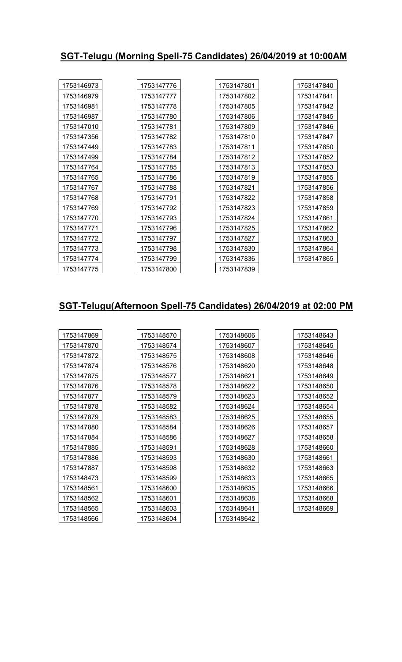# SGT-Telugu (Morning Spell-75 Candidates) 26/04/2019 at 10:00AM

| 1753146973 | 1753147776 | 1753147801 | 1753147840 |
|------------|------------|------------|------------|
| 1753146979 | 1753147777 | 1753147802 | 1753147841 |
| 1753146981 | 1753147778 | 1753147805 | 1753147842 |
| 1753146987 | 1753147780 | 1753147806 | 1753147845 |
| 1753147010 | 1753147781 | 1753147809 | 1753147846 |
| 1753147356 | 1753147782 | 1753147810 | 1753147847 |
| 1753147449 | 1753147783 | 1753147811 | 1753147850 |
| 1753147499 | 1753147784 | 1753147812 | 1753147852 |
| 1753147764 | 1753147785 | 1753147813 | 1753147853 |
| 1753147765 | 1753147786 | 1753147819 | 1753147855 |
| 1753147767 | 1753147788 | 1753147821 | 1753147856 |
| 1753147768 | 1753147791 | 1753147822 | 1753147858 |
| 1753147769 | 1753147792 | 1753147823 | 1753147859 |
| 1753147770 | 1753147793 | 1753147824 | 1753147861 |
| 1753147771 | 1753147796 | 1753147825 | 1753147862 |
| 1753147772 | 1753147797 | 1753147827 | 1753147863 |
| 1753147773 | 1753147798 | 1753147830 | 1753147864 |
| 1753147774 | 1753147799 | 1753147836 | 1753147865 |
| 1753147775 | 1753147800 | 1753147839 |            |

## SGT-Telugu(Afternoon Spell-75 Candidates) 26/04/2019 at 02:00 PM

| 1753147869 | 1753148570 | 1753148606 | 1753148643 |
|------------|------------|------------|------------|
| 1753147870 | 1753148574 | 1753148607 | 1753148645 |
| 1753147872 | 1753148575 | 1753148608 | 1753148646 |
| 1753147874 | 1753148576 | 1753148620 | 1753148648 |
| 1753147875 | 1753148577 | 1753148621 | 1753148649 |
| 1753147876 | 1753148578 | 1753148622 | 1753148650 |
| 1753147877 | 1753148579 | 1753148623 | 1753148652 |
| 1753147878 | 1753148582 | 1753148624 | 1753148654 |
| 1753147879 | 1753148583 | 1753148625 | 1753148655 |
| 1753147880 | 1753148584 | 1753148626 | 1753148657 |
| 1753147884 | 1753148586 | 1753148627 | 1753148658 |
| 1753147885 | 1753148591 | 1753148628 | 1753148660 |
| 1753147886 | 1753148593 | 1753148630 | 1753148661 |
| 1753147887 | 1753148598 | 1753148632 | 1753148663 |
| 1753148473 | 1753148599 | 1753148633 | 1753148665 |
| 1753148561 | 1753148600 | 1753148635 | 1753148666 |
| 1753148562 | 1753148601 | 1753148638 | 1753148668 |
| 1753148565 | 1753148603 | 1753148641 | 1753148669 |
| 1753148566 | 1753148604 | 1753148642 |            |